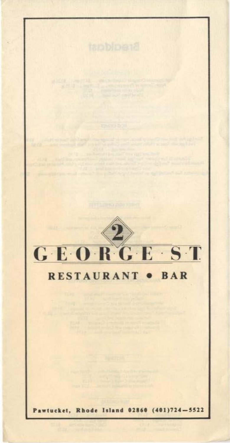